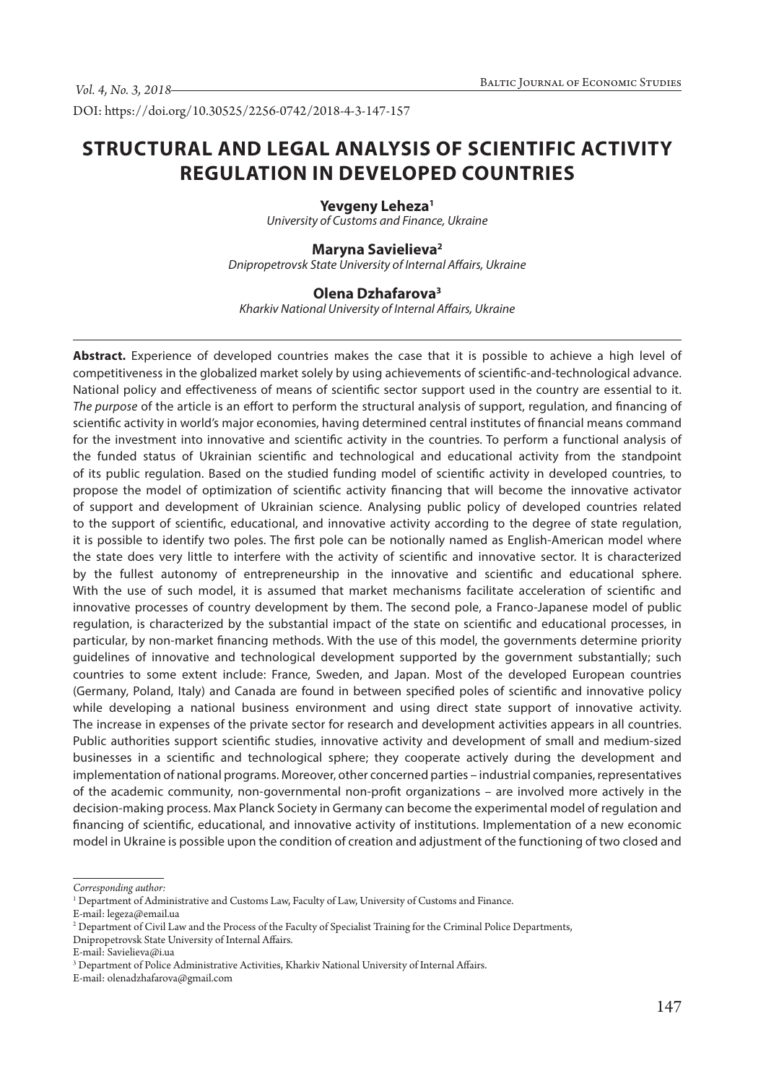DOI: https://doi.org/10.30525/2256-0742/2018-4-3-147-157

# **STRUCTURAL AND LEGAL ANALYSIS OF SCIENTIFIC ACTIVITY REGULATION IN DEVELOPED COUNTRIES**

#### Yevgeny Leheza<sup>1</sup>

*University of Customs and Finance, Ukraine*

## **Maryna Savielieva2**

*Dnipropetrovsk State University of Internal Affairs, Ukraine*

#### **Olena Dzhafarova3**

*Kharkiv National University of Internal Affairs, Ukraine*

**Abstract.** Experience of developed countries makes the case that it is possible to achieve a high level of competitiveness in the globalized market solely by using achievements of scientific-and-technological advance. National policy and effectiveness of means of scientific sector support used in the country are essential to it. *The purpose* of the article is an effort to perform the structural analysis of support, regulation, and financing of scientific activity in world's major economies, having determined central institutes of financial means command for the investment into innovative and scientific activity in the countries. To perform a functional analysis of the funded status of Ukrainian scientific and technological and educational activity from the standpoint of its public regulation. Based on the studied funding model of scientific activity in developed countries, to propose the model of optimization of scientific activity financing that will become the innovative activator of support and development of Ukrainian science. Analysing public policy of developed countries related to the support of scientific, educational, and innovative activity according to the degree of state regulation, it is possible to identify two poles. The first pole can be notionally named as English-American model where the state does very little to interfere with the activity of scientific and innovative sector. It is characterized by the fullest autonomy of entrepreneurship in the innovative and scientific and educational sphere. With the use of such model, it is assumed that market mechanisms facilitate acceleration of scientific and innovative processes of country development by them. The second pole, a Franco-Japanese model of public regulation, is characterized by the substantial impact of the state on scientific and educational processes, in particular, by non-market financing methods. With the use of this model, the governments determine priority guidelines of innovative and technological development supported by the government substantially; such countries to some extent include: France, Sweden, and Japan. Most of the developed European countries (Germany, Poland, Italy) and Canada are found in between specified poles of scientific and innovative policy while developing a national business environment and using direct state support of innovative activity. The increase in expenses of the private sector for research and development activities appears in all countries. Public authorities support scientific studies, innovative activity and development of small and medium-sized businesses in a scientific and technological sphere; they cooperate actively during the development and implementation of national programs. Moreover, other concerned parties – industrial companies, representatives of the academic community, non-governmental non-profit organizations – are involved more actively in the decision-making process. Max Planck Society in Germany can become the experimental model of regulation and financing of scientific, educational, and innovative activity of institutions. Implementation of a new economic model in Ukraine is possible upon the condition of creation and adjustment of the functioning of two closed and

*Corresponding author:*

<sup>1</sup> Department of Administrative and Customs Law, Faculty of Law, University of Customs and Finance.

E-mail: legeza@email.ua

<sup>2</sup> Department of Civil Law and the Process of the Faculty of Specialist Training for the Criminal Police Departments, Dnipropetrovsk State University of Internal Affairs.

E-mail: Savielieva@i.ua

<sup>&</sup>lt;sup>3</sup> Department of Police Administrative Activities, Kharkiv National University of Internal Affairs.

E-mail: olenadzhafarova@gmail.com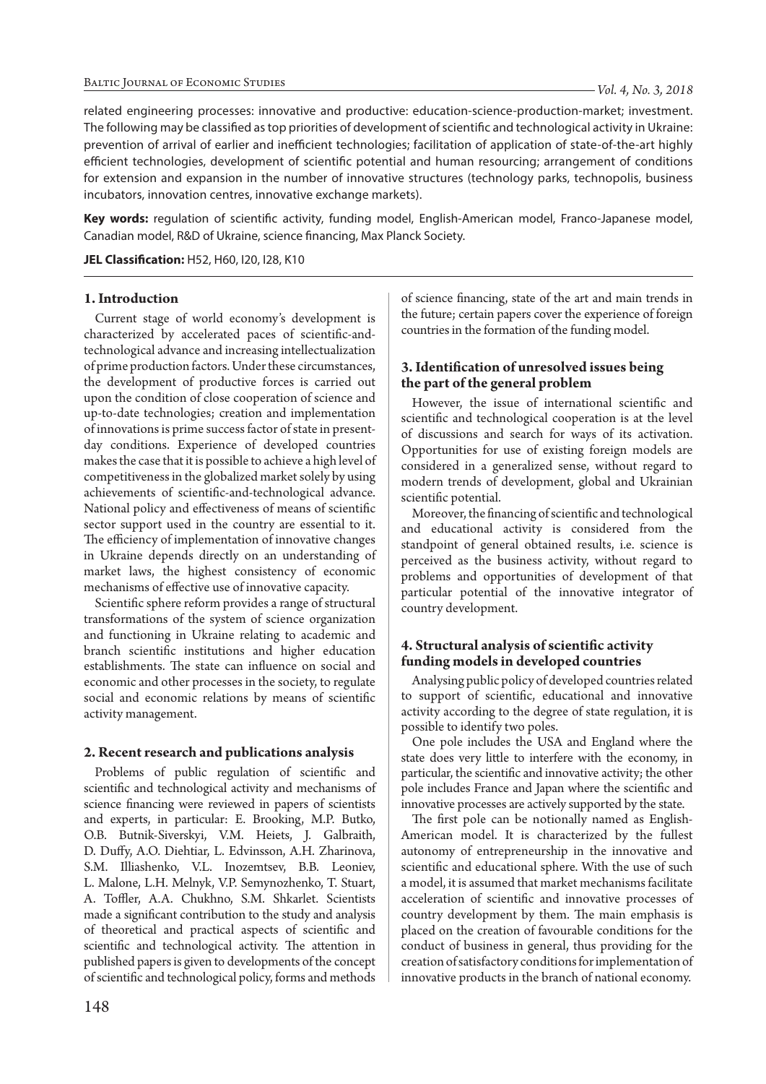related engineering processes: innovative and productive: education-science-production-market; investment. The following may be classified as top priorities of development of scientific and technological activity in Ukraine: prevention of arrival of earlier and inefficient technologies; facilitation of application of state-of-the-art highly efficient technologies, development of scientific potential and human resourcing; arrangement of conditions for extension and expansion in the number of innovative structures (technology parks, technopolis, business incubators, innovation centres, innovative exchange markets).

**Key words:** regulation of scientific activity, funding model, English-American model, Franco-Japanese model, Canadian model, R&D of Ukraine, science financing, Max Planck Society.

**JEL Classification:** H52, H60, I20, I28, K10

#### **1. Introduction**

Current stage of world economy's development is characterized by accelerated paces of scientific-andtechnological advance and increasing intellectualization of prime production factors. Under these circumstances, the development of productive forces is carried out upon the condition of close cooperation of science and up-to-date technologies; creation and implementation of innovations is prime success factor of state in presentday conditions. Experience of developed countries makes the case that it is possible to achieve a high level of competitiveness in the globalized market solely by using achievements of scientific-and-technological advance. National policy and effectiveness of means of scientific sector support used in the country are essential to it. The efficiency of implementation of innovative changes in Ukraine depends directly on an understanding of market laws, the highest consistency of economic mechanisms of effective use of innovative capacity.

Scientific sphere reform provides a range of structural transformations of the system of science organization and functioning in Ukraine relating to academic and branch scientific institutions and higher education establishments. The state can influence on social and economic and other processes in the society, to regulate social and economic relations by means of scientific activity management.

#### **2. Recent research and publications analysis**

Problems of public regulation of scientific and scientific and technological activity and mechanisms of science financing were reviewed in papers of scientists and experts, in particular: E. Brooking, M.P. Butko, O.B. Butnik-Siverskyi, V.M. Heiets, J. Galbraith, D. Duffy, A.O. Diehtiar, L. Edvinsson, A.H. Zharinova, S.M. Illiashenko, V.L. Inozemtsev, B.B. Leoniev, L. Malone, L.H. Melnyk, V.P. Semynozhenko, T. Stuart, A. Toffler, A.A. Chukhno, S.M. Shkarlet. Scientists made a significant contribution to the study and analysis of theoretical and practical aspects of scientific and scientific and technological activity. The attention in published papers is given to developments of the concept of scientific and technological policy, forms and methods

of science financing, state of the art and main trends in the future; certain papers cover the experience of foreign countries in the formation of the funding model.

## **3. Identification of unresolved issues being the part of the general problem**

However, the issue of international scientific and scientific and technological cooperation is at the level of discussions and search for ways of its activation. Opportunities for use of existing foreign models are considered in a generalized sense, without regard to modern trends of development, global and Ukrainian scientific potential.

Moreover, the financing of scientific and technological and educational activity is considered from the standpoint of general obtained results, i.e. science is perceived as the business activity, without regard to problems and opportunities of development of that particular potential of the innovative integrator of country development.

## **4. Structural analysis of scientific activity funding models in developed countries**

Analysing public policy of developed countries related to support of scientific, educational and innovative activity according to the degree of state regulation, it is possible to identify two poles.

One pole includes the USA and England where the state does very little to interfere with the economy, in particular, the scientific and innovative activity; the other pole includes France and Japan where the scientific and innovative processes are actively supported by the state.

The first pole can be notionally named as English-American model. It is characterized by the fullest autonomy of entrepreneurship in the innovative and scientific and educational sphere. With the use of such a model, it is assumed that market mechanisms facilitate acceleration of scientific and innovative processes of country development by them. The main emphasis is placed on the creation of favourable conditions for the conduct of business in general, thus providing for the creation of satisfactory conditions for implementation of innovative products in the branch of national economy.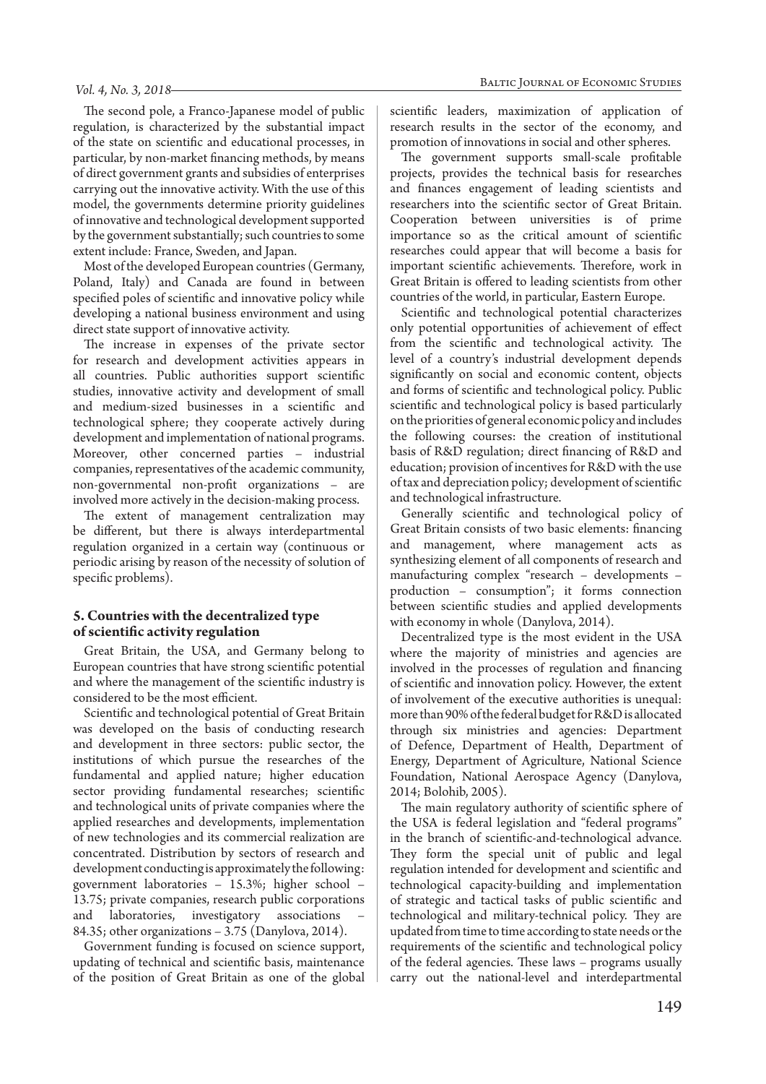The second pole, a Franco-Japanese model of public regulation, is characterized by the substantial impact of the state on scientific and educational processes, in particular, by non-market financing methods, by means of direct government grants and subsidies of enterprises carrying out the innovative activity. With the use of this model, the governments determine priority guidelines of innovative and technological development supported by the government substantially; such countries to some extent include: France, Sweden, and Japan.

Most of the developed European countries (Germany, Poland, Italy) and Canada are found in between specified poles of scientific and innovative policy while developing a national business environment and using direct state support of innovative activity.

The increase in expenses of the private sector for research and development activities appears in all countries. Public authorities support scientific studies, innovative activity and development of small and medium-sized businesses in a scientific and technological sphere; they cooperate actively during development and implementation of national programs. Moreover, other concerned parties – industrial companies, representatives of the academic community, non-governmental non-profit organizations – are involved more actively in the decision-making process.

The extent of management centralization may be different, but there is always interdepartmental regulation organized in a certain way (continuous or periodic arising by reason of the necessity of solution of specific problems).

## **5. Countries with the decentralized type of scientific activity regulation**

Great Britain, the USA, and Germany belong to European countries that have strong scientific potential and where the management of the scientific industry is considered to be the most efficient.

Scientific and technological potential of Great Britain was developed on the basis of conducting research and development in three sectors: public sector, the institutions of which pursue the researches of the fundamental and applied nature; higher education sector providing fundamental researches; scientific and technological units of private companies where the applied researches and developments, implementation of new technologies and its commercial realization are concentrated. Distribution by sectors of research and development conducting is approximately the following: government laboratories – 15.3%; higher school – 13.75; private companies, research public corporations and laboratories, investigatory associations – 84.35; other organizations  $-3.75$  (Danylova, 2014).

Government funding is focused on science support, updating of technical and scientific basis, maintenance of the position of Great Britain as one of the global

scientific leaders, maximization of application of research results in the sector of the economy, and promotion of innovations in social and other spheres.

The government supports small-scale profitable projects, provides the technical basis for researches and finances engagement of leading scientists and researchers into the scientific sector of Great Britain. Cooperation between universities is of prime importance so as the critical amount of scientific researches could appear that will become a basis for important scientific achievements. Therefore, work in Great Britain is offered to leading scientists from other countries of the world, in particular, Eastern Europe.

Scientific and technological potential characterizes only potential opportunities of achievement of effect from the scientific and technological activity. The level of a country's industrial development depends significantly on social and economic content, objects and forms of scientific and technological policy. Public scientific and technological policy is based particularly on the priorities of general economic policy and includes the following courses: the creation of institutional basis of R&D regulation; direct financing of R&D and education; provision of incentives for R&D with the use of tax and depreciation policy; development of scientific and technological infrastructure.

Generally scientific and technological policy of Great Britain consists of two basic elements: financing and management, where management acts as synthesizing element of all components of research and manufacturing complex "research – developments – production – consumption"; it forms connection between scientific studies and applied developments with economy in whole (Danylova, 2014).

Decentralized type is the most evident in the USA where the majority of ministries and agencies are involved in the processes of regulation and financing of scientific and innovation policy. However, the extent of involvement of the executive authorities is unequal: more than 90% of the federal budget for R&D is allocated through six ministries and agencies: Department of Defence, Department of Health, Department of Energy, Department of Agriculture, National Science Foundation, National Aerospace Agency (Danylova, 2014; Bolohib, 2005).

The main regulatory authority of scientific sphere of the USA is federal legislation and "federal programs" in the branch of scientific-and-technological advance. They form the special unit of public and legal regulation intended for development and scientific and technological capacity-building and implementation of strategic and tactical tasks of public scientific and technological and military-technical policy. They are updated from time to time according to state needs or the requirements of the scientific and technological policy of the federal agencies. These laws – programs usually carry out the national-level and interdepartmental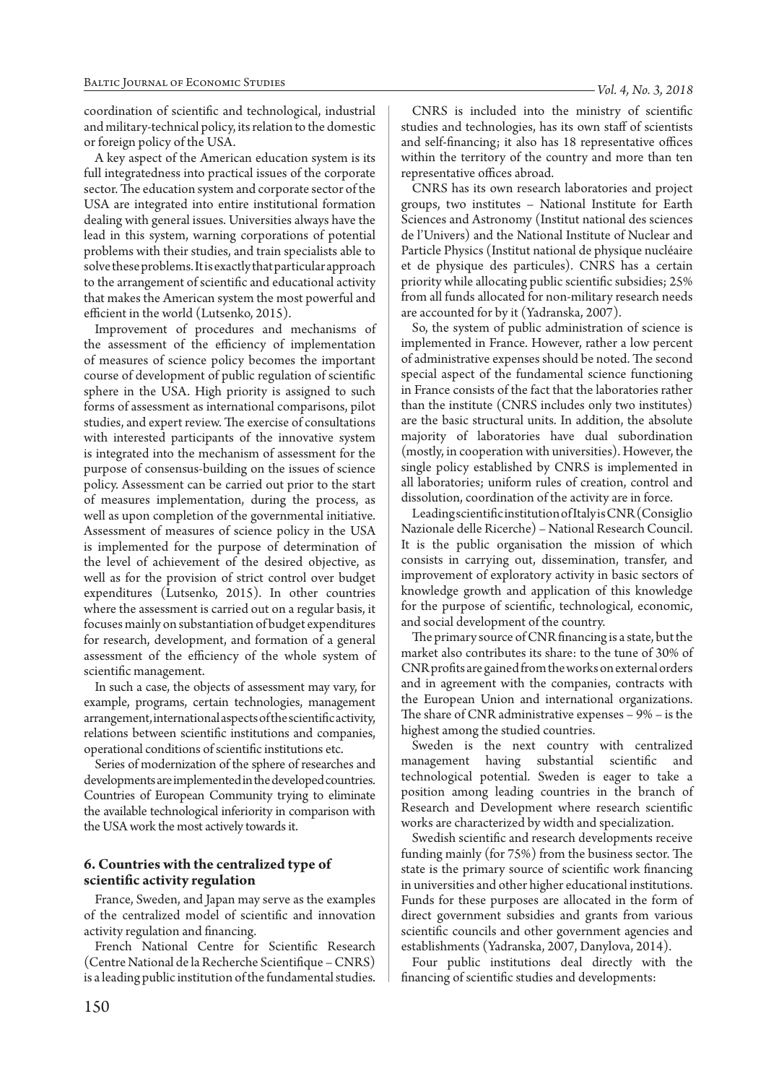coordination of scientific and technological, industrial and military-technical policy, its relation to the domestic or foreign policy of the USA.

A key aspect of the American education system is its full integratedness into practical issues of the corporate sector. The education system and corporate sector of the USA are integrated into entire institutional formation dealing with general issues. Universities always have the lead in this system, warning corporations of potential problems with their studies, and train specialists able to solve these problems. It is exactly that particular approach to the arrangement of scientific and educational activity that makes the American system the most powerful and efficient in the world (Lutsenko, 2015).

Improvement of procedures and mechanisms of the assessment of the efficiency of implementation of measures of science policy becomes the important course of development of public regulation of scientific sphere in the USA. High priority is assigned to such forms of assessment as international comparisons, pilot studies, and expert review. The exercise of consultations with interested participants of the innovative system is integrated into the mechanism of assessment for the purpose of consensus-building on the issues of science policy. Assessment can be carried out prior to the start of measures implementation, during the process, as well as upon completion of the governmental initiative. Assessment of measures of science policy in the USA is implemented for the purpose of determination of the level of achievement of the desired objective, as well as for the provision of strict control over budget expenditures (Lutsenko, 2015). In other countries where the assessment is carried out on a regular basis, it focuses mainly on substantiation of budget expenditures for research, development, and formation of a general assessment of the efficiency of the whole system of scientific management.

In such a case, the objects of assessment may vary, for example, programs, certain technologies, management arrangement, international aspects of the scientific activity, relations between scientific institutions and companies, operational conditions of scientific institutions etc.

Series of modernization of the sphere of researches and developments are implemented in the developed countries. Countries of European Community trying to eliminate the available technological inferiority in comparison with the USA work the most actively towards it.

## **6. Countries with the centralized type of scientific activity regulation**

France, Sweden, and Japan may serve as the examples of the centralized model of scientific and innovation activity regulation and financing.

French National Centre for Scientific Research (Centre National de la Recherche Scientifique – CNRS) is a leading public institution of the fundamental studies.

CNRS is included into the ministry of scientific studies and technologies, has its own staff of scientists and self-financing; it also has 18 representative offices within the territory of the country and more than ten representative offices abroad.

CNRS has its own research laboratories and project groups, two institutes – National Institute for Earth Sciences and Astronomy (Institut national des sciences de l'Univers) and the National Institute of Nuclear and Particle Physics (Institut national de physique nucléaire et de physique des particules). CNRS has a certain priority while allocating public scientific subsidies; 25% from all funds allocated for non-military research needs are accounted for by it (Yadranska, 2007).

So, the system of public administration of science is implemented in France. However, rather a low percent of administrative expenses should be noted. The second special aspect of the fundamental science functioning in France consists of the fact that the laboratories rather than the institute (CNRS includes only two institutes) are the basic structural units. In addition, the absolute majority of laboratories have dual subordination (mostly, in cooperation with universities). However, the single policy established by CNRS is implemented in all laboratories; uniform rules of creation, control and dissolution, coordination of the activity are in force.

Leading scientific institution of Italy is CNR (Consiglio Nazionale delle Ricerche) – National Research Council. It is the public organisation the mission of which consists in carrying out, dissemination, transfer, and improvement of exploratory activity in basic sectors of knowledge growth and application of this knowledge for the purpose of scientific, technological, economic, and social development of the country.

The primary source of CNR financing is a state, but the market also contributes its share: to the tune of 30% of CNR profits are gained from the works on external orders and in agreement with the companies, contracts with the European Union and international organizations. The share of CNR administrative expenses – 9% – is the highest among the studied countries.

Sweden is the next country with centralized management having substantial scientific and technological potential. Sweden is eager to take a position among leading countries in the branch of Research and Development where research scientific works are characterized by width and specialization.

Swedish scientific and research developments receive funding mainly (for 75%) from the business sector. The state is the primary source of scientific work financing in universities and other higher educational institutions. Funds for these purposes are allocated in the form of direct government subsidies and grants from various scientific councils and other government agencies and establishments (Yadranska, 2007, Danylova, 2014).

Four public institutions deal directly with the financing of scientific studies and developments: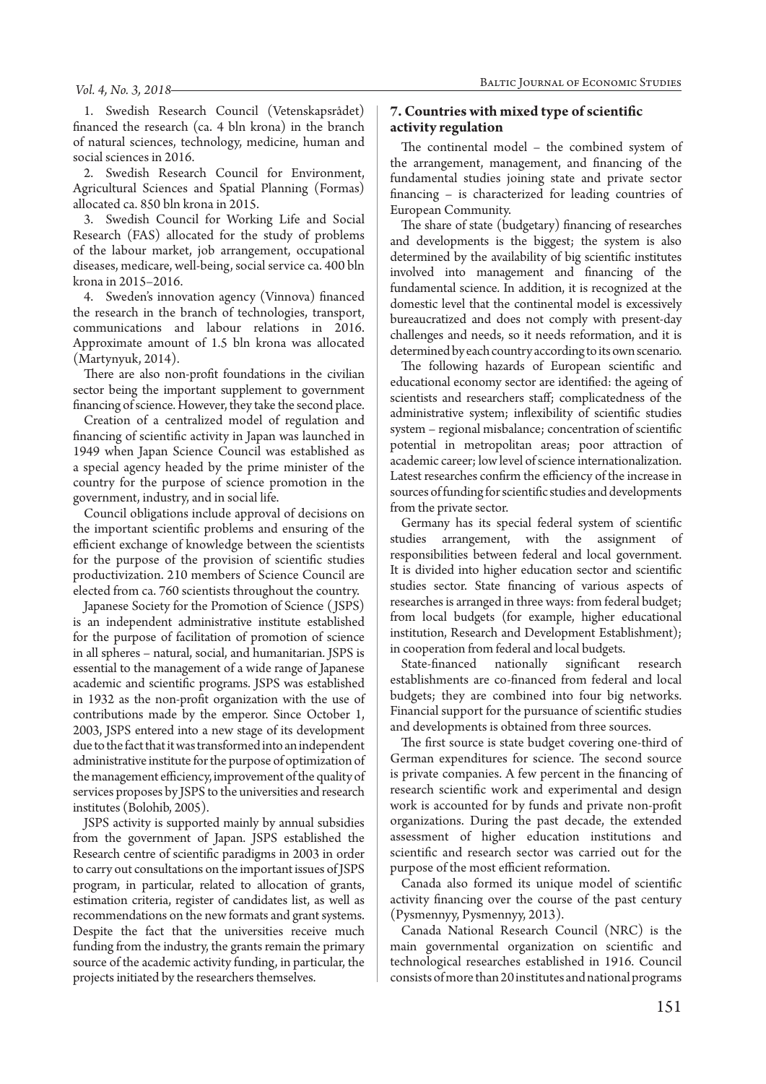1. Swedish Research Council (Vetenskapsrådet) financed the research (ca. 4 bln krona) in the branch of natural sciences, technology, medicine, human and social sciences in 2016.

2. Swedish Research Council for Environment, Agricultural Sciences and Spatial Planning (Formas) allocated ca. 850 bln krona in 2015.

3. Swedish Council for Working Life and Social Research (FAS) allocated for the study of problems of the labour market, job arrangement, occupational diseases, medicare, well-being, social service ca. 400 bln krona in 2015–2016.

4. Sweden's innovation agency (Vinnova) financed the research in the branch of technologies, transport, communications and labour relations in 2016. Approximate amount of 1.5 bln krona was allocated (Martynyuk, 2014).

There are also non-profit foundations in the civilian sector being the important supplement to government financing of science. However, they take the second place.

Creation of a centralized model of regulation and financing of scientific activity in Japan was launched in 1949 when Japan Science Council was established as a special agency headed by the prime minister of the country for the purpose of science promotion in the government, industry, and in social life.

Council obligations include approval of decisions on the important scientific problems and ensuring of the efficient exchange of knowledge between the scientists for the purpose of the provision of scientific studies productivization. 210 members of Science Council are elected from ca. 760 scientists throughout the country.

Japanese Society for the Promotion of Science ( JSPS) is an independent administrative institute established for the purpose of facilitation of promotion of science in all spheres – natural, social, and humanitarian. JSPS is essential to the management of a wide range of Japanese academic and scientific programs. JSPS was established in 1932 as the non-profit organization with the use of contributions made by the emperor. Since October 1, 2003, JSPS entered into a new stage of its development due to the fact that it was transformed into an independent administrative institute for the purpose of optimization of the management efficiency, improvement of the quality of services proposes by JSPS to the universities and research institutes (Bolohib, 2005).

JSPS activity is supported mainly by annual subsidies from the government of Japan. JSPS established the Research centre of scientific paradigms in 2003 in order to carry out consultations on the important issues of JSPS program, in particular, related to allocation of grants, estimation criteria, register of candidates list, as well as recommendations on the new formats and grant systems. Despite the fact that the universities receive much funding from the industry, the grants remain the primary source of the academic activity funding, in particular, the projects initiated by the researchers themselves.

## **7. Countries with mixed type of scientific activity regulation**

The continental model – the combined system of the arrangement, management, and financing of the fundamental studies joining state and private sector financing – is characterized for leading countries of European Community.

The share of state (budgetary) financing of researches and developments is the biggest; the system is also determined by the availability of big scientific institutes involved into management and financing of the fundamental science. In addition, it is recognized at the domestic level that the continental model is excessively bureaucratized and does not comply with present-day challenges and needs, so it needs reformation, and it is determined by each country according to its own scenario.

The following hazards of European scientific and educational economy sector are identified: the ageing of scientists and researchers staff; complicatedness of the administrative system; inflexibility of scientific studies system – regional misbalance; concentration of scientific potential in metropolitan areas; poor attraction of academic career; low level of science internationalization. Latest researches confirm the efficiency of the increase in sources of funding for scientific studies and developments from the private sector.

Germany has its special federal system of scientific studies arrangement, with the assignment of responsibilities between federal and local government. It is divided into higher education sector and scientific studies sector. State financing of various aspects of researches is arranged in three ways: from federal budget; from local budgets (for example, higher educational institution, Research and Development Establishment); in cooperation from federal and local budgets.

State-financed nationally significant research establishments are co-financed from federal and local budgets; they are combined into four big networks. Financial support for the pursuance of scientific studies and developments is obtained from three sources.

The first source is state budget covering one-third of German expenditures for science. The second source is private companies. A few percent in the financing of research scientific work and experimental and design work is accounted for by funds and private non-profit organizations. During the past decade, the extended assessment of higher education institutions and scientific and research sector was carried out for the purpose of the most efficient reformation.

Canada also formed its unique model of scientific activity financing over the course of the past century (Pysmennyy, Pysmennyy, 2013).

Canada National Research Council (NRC) is the main governmental organization on scientific and technological researches established in 1916. Council consists of more than 20 institutes and national programs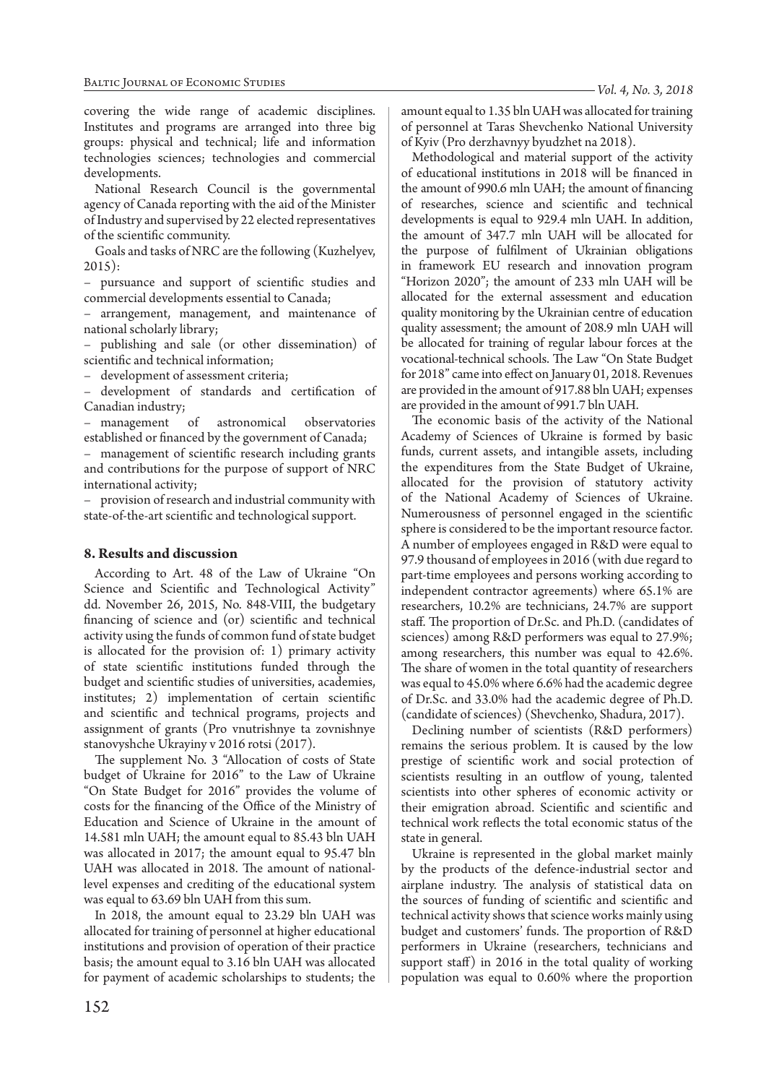covering the wide range of academic disciplines. Institutes and programs are arranged into three big groups: physical and technical; life and information technologies sciences; technologies and commercial developments.

National Research Council is the governmental agency of Canada reporting with the aid of the Minister of Industry and supervised by 22 elected representatives of the scientific community.

Goals and tasks of NRC are the following (Kuzhelyev, 2015):

– pursuance and support of scientific studies and commercial developments essential to Canada;

– arrangement, management, and maintenance of national scholarly library;

– publishing and sale (or other dissemination) of scientific and technical information;

– development of assessment criteria;

– development of standards and certification of Canadian industry;

– management of astronomical observatories established or financed by the government of Canada;

– management of scientific research including grants and contributions for the purpose of support of NRC international activity;

– provision of research and industrial community with state-of-the-art scientific and technological support.

## **8. Results and discussion**

According to Art. 48 of the Law of Ukraine "On Science and Scientific and Technological Activity" dd. November 26, 2015, No. 848-VIII, the budgetary financing of science and (or) scientific and technical activity using the funds of common fund of state budget is allocated for the provision of: 1) primary activity of state scientific institutions funded through the budget and scientific studies of universities, academies, institutes; 2) implementation of certain scientific and scientific and technical programs, projects and assignment of grants (Pro vnutrishnye ta zovnishnye stanovyshche Ukrayiny v 2016 rotsi (2017).

The supplement No. 3 "Allocation of costs of State budget of Ukraine for 2016" to the Law of Ukraine "On State Budget for 2016" provides the volume of costs for the financing of the Office of the Ministry of Education and Science of Ukraine in the amount of 14.581 mln UAH; the amount equal to 85.43 bln UAH was allocated in 2017; the amount equal to 95.47 bln UAH was allocated in 2018. The amount of nationallevel expenses and crediting of the educational system was equal to 63.69 bln UAH from this sum.

In 2018, the amount equal to 23.29 bln UAH was allocated for training of personnel at higher educational institutions and provision of operation of their practice basis; the amount equal to 3.16 bln UAH was allocated for payment of academic scholarships to students; the

amount equal to 1.35 bln UAH was allocated for training of personnel at Taras Shevchenko National University of Kyiv (Pro derzhavnyy byudzhet na 2018).

Methodological and material support of the activity of educational institutions in 2018 will be financed in the amount of 990.6 mln UAH; the amount of financing of researches, science and scientific and technical developments is equal to 929.4 mln UAH. In addition, the amount of 347.7 mln UAH will be allocated for the purpose of fulfilment of Ukrainian obligations in framework EU research and innovation program "Horizon 2020"; the amount of 233 mln UAH will be allocated for the external assessment and education quality monitoring by the Ukrainian centre of education quality assessment; the amount of 208.9 mln UAH will be allocated for training of regular labour forces at the vocational-technical schools. The Law "On State Budget for 2018" came into effect on January 01, 2018. Revenues are provided in the amount of 917.88 bln UAH; expenses are provided in the amount of 991.7 bln UAH.

The economic basis of the activity of the National Academy of Sciences of Ukraine is formed by basic funds, current assets, and intangible assets, including the expenditures from the State Budget of Ukraine, allocated for the provision of statutory activity of the National Academy of Sciences of Ukraine. Numerousness of personnel engaged in the scientific sphere is considered to be the important resource factor. A number of employees engaged in R&D were equal to 97.9 thousand of employees in 2016 (with due regard to part-time employees and persons working according to independent contractor agreements) where 65.1% are researchers, 10.2% are technicians, 24.7% are support staff. The proportion of Dr.Sc. and Ph.D. (candidates of sciences) among R&D performers was equal to 27.9%; among researchers, this number was equal to 42.6%. The share of women in the total quantity of researchers was equal to 45.0% where 6.6% had the academic degree of Dr.Sc. and 33.0% had the academic degree of Ph.D. (candidate of sciences) (Shevchenko, Shadura, 2017).

Declining number of scientists (R&D performers) remains the serious problem. It is caused by the low prestige of scientific work and social protection of scientists resulting in an outflow of young, talented scientists into other spheres of economic activity or their emigration abroad. Scientific and scientific and technical work reflects the total economic status of the state in general.

Ukraine is represented in the global market mainly by the products of the defence-industrial sector and airplane industry. The analysis of statistical data on the sources of funding of scientific and scientific and technical activity shows that science works mainly using budget and customers' funds. The proportion of R&D performers in Ukraine (researchers, technicians and support staff) in 2016 in the total quality of working population was equal to 0.60% where the proportion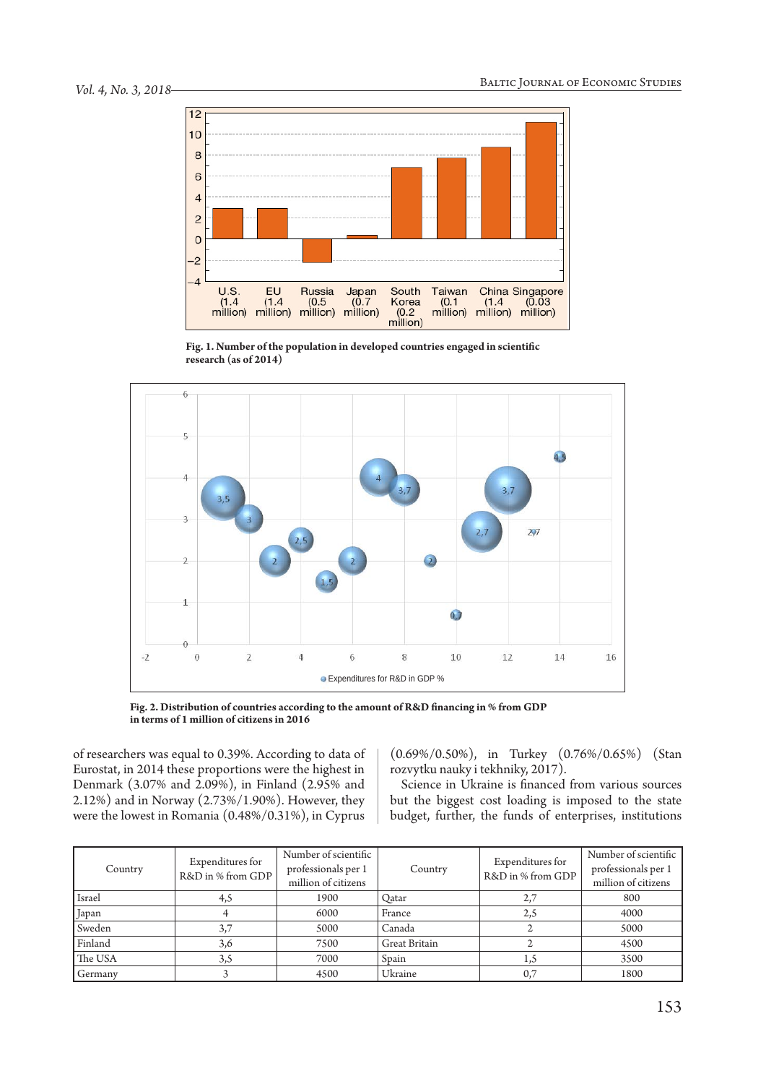

**Fig. 1. Number of the population in developed countries engaged in scientific research (as of 2014)**



**Fig. 2. Distribution of countries according to the amount of R&D financing in % from GDP in terms of 1 million of citizens in 2016**

of researchers was equal to 0.39%. According to data of Eurostat, in 2014 these proportions were the highest in Denmark (3.07% and 2.09%), in Finland (2.95% and 2.12%) and in Norway (2.73%/1.90%). However, they were the lowest in Romania (0.48%/0.31%), in Cyprus

(0.69%/0.50%), in Turkey (0.76%/0.65%) (Stan rozvytku nauky i tekhniky, 2017).

Science in Ukraine is financed from various sources but the biggest cost loading is imposed to the state budget, further, the funds of enterprises, institutions

| Country | Expenditures for<br>R&D in % from GDP | Number of scientific<br>professionals per 1<br>million of citizens | Country              | Expenditures for<br>R&D in % from GDP | Number of scientific<br>professionals per 1<br>million of citizens |
|---------|---------------------------------------|--------------------------------------------------------------------|----------------------|---------------------------------------|--------------------------------------------------------------------|
| Israel  | 4,5                                   | 1900                                                               | Oatar                | 2,7                                   | 800                                                                |
| Japan   |                                       | 6000                                                               | France               | 2,5                                   | 4000                                                               |
| Sweden  | 3,7                                   | 5000                                                               | Canada               |                                       | 5000                                                               |
| Finland | 3,6                                   | 7500                                                               | <b>Great Britain</b> |                                       | 4500                                                               |
| The USA | 3,5                                   | 7000                                                               | Spain                | 1,5                                   | 3500                                                               |
| Germany |                                       | 4500                                                               | Ukraine              | 0,7                                   | 1800                                                               |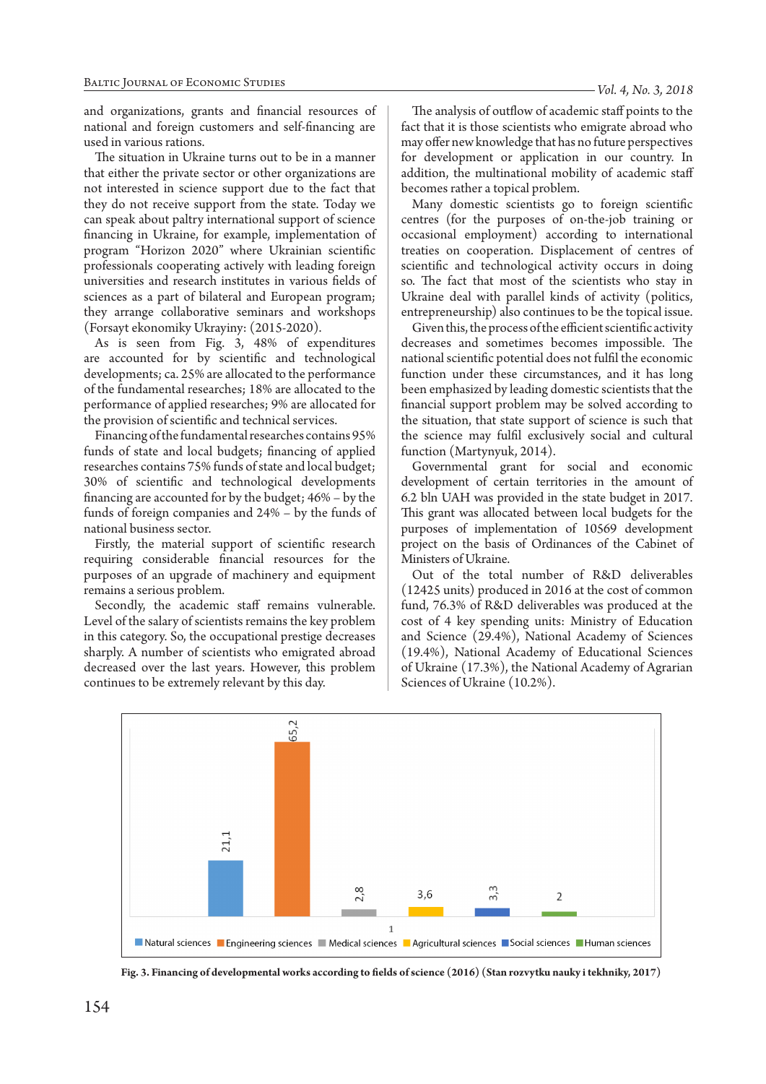and organizations, grants and financial resources of national and foreign customers and self-financing are used in various rations.

The situation in Ukraine turns out to be in a manner that either the private sector or other organizations are not interested in science support due to the fact that they do not receive support from the state. Today we can speak about paltry international support of science financing in Ukraine, for example, implementation of program "Horizon 2020" where Ukrainian scientific professionals cooperating actively with leading foreign universities and research institutes in various fields of sciences as a part of bilateral and European program; they arrange collaborative seminars and workshops (Forsayt ekonomiky Ukrayiny: (2015-2020).

As is seen from Fig. 3, 48% of expenditures are accounted for by scientific and technological developments; ca. 25% are allocated to the performance of the fundamental researches; 18% are allocated to the performance of applied researches; 9% are allocated for the provision of scientific and technical services.

Financing of the fundamental researches contains 95% funds of state and local budgets; financing of applied researches contains 75% funds of state and local budget; 30% of scientific and technological developments financing are accounted for by the budget; 46% – by the funds of foreign companies and 24% – by the funds of national business sector.

Firstly, the material support of scientific research requiring considerable financial resources for the purposes of an upgrade of machinery and equipment remains a serious problem.

Secondly, the academic staff remains vulnerable. Level of the salary of scientists remains the key problem in this category. So, the occupational prestige decreases sharply. A number of scientists who emigrated abroad decreased over the last years. However, this problem continues to be extremely relevant by this day.

The analysis of outflow of academic staff points to the fact that it is those scientists who emigrate abroad who may offer new knowledge that has no future perspectives for development or application in our country. In addition, the multinational mobility of academic staff becomes rather a topical problem.

Many domestic scientists go to foreign scientific centres (for the purposes of on-the-job training or occasional employment) according to international treaties on cooperation. Displacement of centres of scientific and technological activity occurs in doing so. The fact that most of the scientists who stay in Ukraine deal with parallel kinds of activity (politics, entrepreneurship) also continues to be the topical issue.

Given this, the process of the efficient scientific activity decreases and sometimes becomes impossible. The national scientific potential does not fulfil the economic function under these circumstances, and it has long been emphasized by leading domestic scientists that the financial support problem may be solved according to the situation, that state support of science is such that the science may fulfil exclusively social and cultural function (Martynyuk, 2014).

Governmental grant for social and economic development of certain territories in the amount of 6.2 bln UAH was provided in the state budget in 2017. This grant was allocated between local budgets for the purposes of implementation of 10569 development project on the basis of Ordinances of the Cabinet of Ministers of Ukraine.

Out of the total number of R&D deliverables (12425 units) produced in 2016 at the cost of common fund, 76.3% of R&D deliverables was produced at the cost of 4 key spending units: Ministry of Education and Science (29.4%), National Academy of Sciences (19.4%), National Academy of Educational Sciences of Ukraine (17.3%), the National Academy of Agrarian Sciences of Ukraine (10.2%).



**Fig. 3. Financing of developmental works according to fields of science (2016) (Stan rozvytku nauky i tekhniky, 2017)**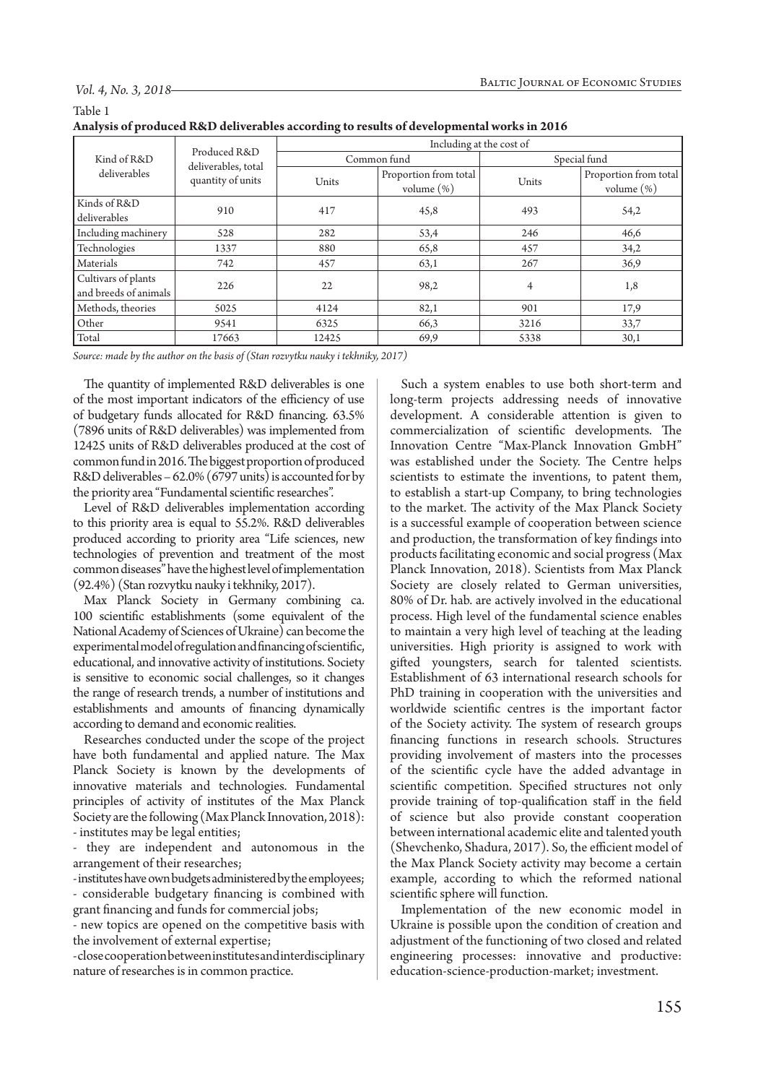Table 1

| 11.000 01 proudou rupo den crusto decorum, co resulto oi de celephonia norito in 2010 |                                                          |                          |                                        |              |                                        |  |  |  |
|---------------------------------------------------------------------------------------|----------------------------------------------------------|--------------------------|----------------------------------------|--------------|----------------------------------------|--|--|--|
| Kind of R&D<br>deliverables                                                           | Produced R&D<br>deliverables, total<br>quantity of units | Including at the cost of |                                        |              |                                        |  |  |  |
|                                                                                       |                                                          | Common fund              |                                        | Special fund |                                        |  |  |  |
|                                                                                       |                                                          | Units                    | Proportion from total<br>volume $(\%)$ | Units        | Proportion from total<br>volume $(\%)$ |  |  |  |
| Kinds of R&D<br>deliverables                                                          | 910                                                      | 417                      | 45,8                                   | 493          | 54,2                                   |  |  |  |
| Including machinery                                                                   | 528                                                      | 282                      | 53,4                                   | 246          | 46,6                                   |  |  |  |
| Technologies                                                                          | 1337                                                     | 880                      | 65,8                                   | 457          | 34,2                                   |  |  |  |
| Materials                                                                             | 742                                                      | 457                      | 63,1                                   | 267          | 36,9                                   |  |  |  |
| Cultivars of plants<br>and breeds of animals                                          | 226                                                      | 22                       | 98,2                                   | 4            | 1,8                                    |  |  |  |
| Methods, theories                                                                     | 5025                                                     | 4124                     | 82,1                                   | 901          | 17,9                                   |  |  |  |
| Other                                                                                 | 9541                                                     | 6325                     | 66,3                                   | 3216         | 33,7                                   |  |  |  |
| Total                                                                                 | 17663                                                    | 12425                    | 69,9                                   | 5338         | 30,1                                   |  |  |  |

| Analysis of produced R&D deliverables according to results of developmental works in 2016 |  |
|-------------------------------------------------------------------------------------------|--|
|                                                                                           |  |

*Source: made by the author on the basis of (Stan rozvytku nauky i tekhniky, 2017)*

The quantity of implemented R&D deliverables is one of the most important indicators of the efficiency of use of budgetary funds allocated for R&D financing. 63.5% (7896 units of R&D deliverables) was implemented from 12425 units of R&D deliverables produced at the cost of common fund in 2016. The biggest proportion of produced R&D deliverables – 62.0% (6797 units) is accounted for by the priority area "Fundamental scientific researches".

Level of R&D deliverables implementation according to this priority area is equal to 55.2%. R&D deliverables produced according to priority area "Life sciences, new technologies of prevention and treatment of the most common diseases" have the highest level of implementation (92.4%) (Stan rozvytku nauky i tekhniky, 2017).

Max Planck Society in Germany combining ca. 100 scientific establishments (some equivalent of the National Academy of Sciences of Ukraine) can become the experimental model of regulation and financing of scientific, educational, and innovative activity of institutions. Society is sensitive to economic social challenges, so it changes the range of research trends, a number of institutions and establishments and amounts of financing dynamically according to demand and economic realities.

Researches conducted under the scope of the project have both fundamental and applied nature. The Max Planck Society is known by the developments of innovative materials and technologies. Fundamental principles of activity of institutes of the Max Planck Society are the following (Max Planck Innovation, 2018): - institutes may be legal entities;

- they are independent and autonomous in the arrangement of their researches;

- institutes have own budgets administered by the employees; - considerable budgetary financing is combined with grant financing and funds for commercial jobs;

- new topics are opened on the competitive basis with the involvement of external expertise;

- close cooperation between institutes and interdisciplinary nature of researches is in common practice.

Such a system enables to use both short-term and long-term projects addressing needs of innovative development. A considerable attention is given to commercialization of scientific developments. The Innovation Centre "Max-Planck Innovation GmbH" was established under the Society. The Centre helps scientists to estimate the inventions, to patent them, to establish a start-up Company, to bring technologies to the market. The activity of the Max Planck Society is a successful example of cooperation between science and production, the transformation of key findings into products facilitating economic and social progress (Max Planck Innovation, 2018). Scientists from Max Planck Society are closely related to German universities, 80% of Dr. hab. are actively involved in the educational process. High level of the fundamental science enables to maintain a very high level of teaching at the leading universities. High priority is assigned to work with gifted youngsters, search for talented scientists. Establishment of 63 international research schools for PhD training in cooperation with the universities and worldwide scientific centres is the important factor of the Society activity. The system of research groups financing functions in research schools. Structures providing involvement of masters into the processes of the scientific cycle have the added advantage in scientific competition. Specified structures not only provide training of top-qualification staff in the field of science but also provide constant cooperation between international academic elite and talented youth (Shevchenko, Shadura, 2017). So, the efficient model of the Max Planck Society activity may become a certain example, according to which the reformed national scientific sphere will function.

Implementation of the new economic model in Ukraine is possible upon the condition of creation and adjustment of the functioning of two closed and related engineering processes: innovative and productive: education-science-production-market; investment.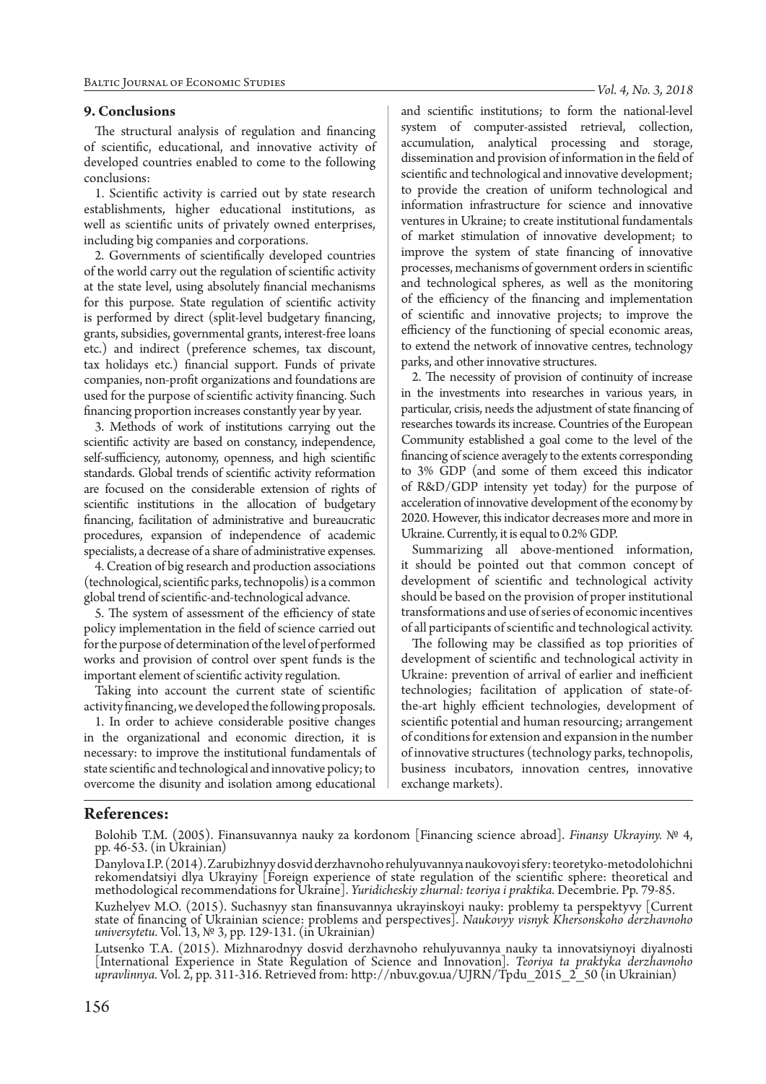#### Baltic Journal of Economic Studies

#### **9. Conclusions**

The structural analysis of regulation and financing of scientific, educational, and innovative activity of developed countries enabled to come to the following conclusions:

1. Scientific activity is carried out by state research establishments, higher educational institutions, as well as scientific units of privately owned enterprises, including big companies and corporations.

2. Governments of scientifically developed countries of the world carry out the regulation of scientific activity at the state level, using absolutely financial mechanisms for this purpose. State regulation of scientific activity is performed by direct (split-level budgetary financing, grants, subsidies, governmental grants, interest-free loans etc.) and indirect (preference schemes, tax discount, tax holidays etc.) financial support. Funds of private companies, non-profit organizations and foundations are used for the purpose of scientific activity financing. Such financing proportion increases constantly year by year.

3. Methods of work of institutions carrying out the scientific activity are based on constancy, independence, self-sufficiency, autonomy, openness, and high scientific standards. Global trends of scientific activity reformation are focused on the considerable extension of rights of scientific institutions in the allocation of budgetary financing, facilitation of administrative and bureaucratic procedures, expansion of independence of academic specialists, a decrease of a share of administrative expenses.

4. Creation of big research and production associations (technological, scientific parks, technopolis) is a common global trend of scientific-and-technological advance.

5. The system of assessment of the efficiency of state policy implementation in the field of science carried out for the purpose of determination of the level of performed works and provision of control over spent funds is the important element of scientific activity regulation.

Taking into account the current state of scientific activity financing, we developed the following proposals.

1. In order to achieve considerable positive changes in the organizational and economic direction, it is necessary: to improve the institutional fundamentals of state scientific and technological and innovative policy; to overcome the disunity and isolation among educational *Vol. 4, No. 3, 2018*

and scientific institutions; to form the national-level system of computer-assisted retrieval, collection, accumulation, analytical processing and storage, dissemination and provision of information in the field of scientific and technological and innovative development; to provide the creation of uniform technological and information infrastructure for science and innovative ventures in Ukraine; to create institutional fundamentals of market stimulation of innovative development; to improve the system of state financing of innovative processes, mechanisms of government orders in scientific and technological spheres, as well as the monitoring of the efficiency of the financing and implementation of scientific and innovative projects; to improve the efficiency of the functioning of special economic areas, to extend the network of innovative centres, technology parks, and other innovative structures.

2. The necessity of provision of continuity of increase in the investments into researches in various years, in particular, crisis, needs the adjustment of state financing of researches towards its increase. Countries of the European Community established a goal come to the level of the financing of science averagely to the extents corresponding to 3% GDP (and some of them exceed this indicator of R&D/GDP intensity yet today) for the purpose of acceleration of innovative development of the economy by 2020. However, this indicator decreases more and more in Ukraine. Currently, it is equal to 0.2% GDP.

Summarizing all above-mentioned information, it should be pointed out that common concept of development of scientific and technological activity should be based on the provision of proper institutional transformations and use of series of economic incentives of all participants of scientific and technological activity.

The following may be classified as top priorities of development of scientific and technological activity in Ukraine: prevention of arrival of earlier and inefficient technologies; facilitation of application of state-ofthe-art highly efficient technologies, development of scientific potential and human resourcing; arrangement of conditions for extension and expansion in the number of innovative structures (technology parks, technopolis, business incubators, innovation centres, innovative exchange markets).

# **References:**

Bolohib T.M. (2005). Finansuvannya nauky za kordonom [Financing science abroad]. *Finansy Ukrayiny.* № 4, pp. 46-53. (in Ukrainian)

Lutsenko T.A. (2015). Mizhnarodnyy dosvid derzhavnoho rehulyuvannya nauky ta innovatsiynoyi diyalnosti [International Experience in State Regulation of Science and Innovation]. *Teoriya ta praktyka derzhavnoho upravlinnya.* Vol. 2, pp. 311-316. Retrieved from: http://nbuv.gov.ua/UJRN/Tpdu\_2015\_2\_50 (in Ukrainian)

Danylova I.P. (2014). Zarubizhnyy dosvid derzhavnoho rehulyuvannya naukovoyi sfery: teoretyko-metodolohichni rekomendatsiyi dlya Ukrayiny [Foreign experience of state regulation of the scientific sphere: theoretical and methodological recommendations for Ukraine]. *Yuridicheskiy zhurnal: teoriya i praktika.* Decembrie. Pp. 79-85.

Kuzhelyev M.O. (2015). Suchasnyy stan finansuvannya ukrayinskoyi nauky: problemy ta perspektyvy [Current state of financing of Ukrainian science: problems and perspectives]. *Naukovyy visnyk Khersonskoho derzhavnoho universytetu.* Vol. 13, № 3, pp. 129-131. (in Ukrainian)